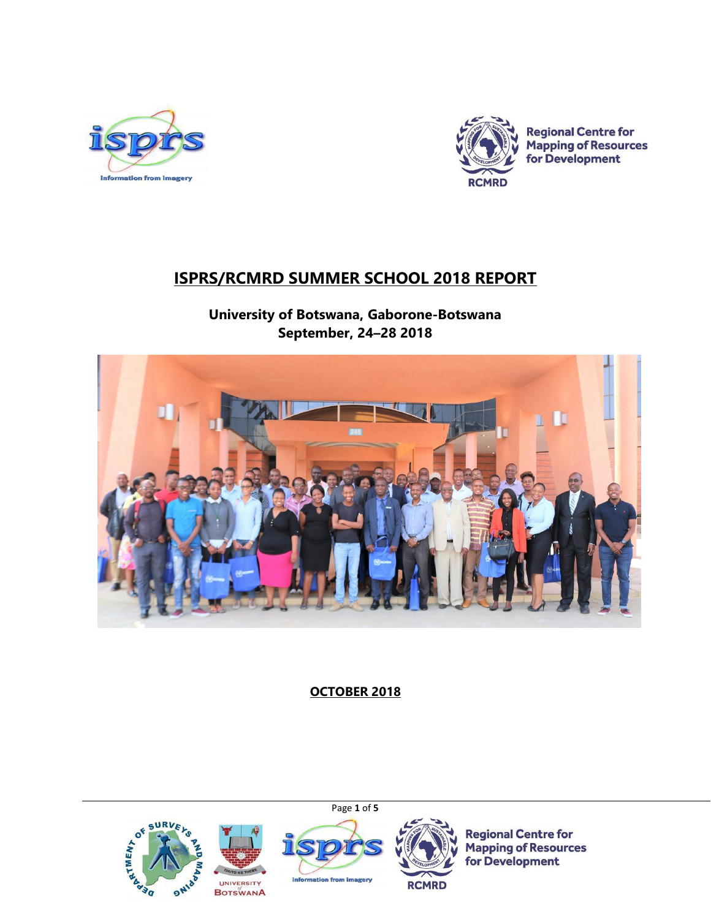



**Regional Centre for Mapping of Resources** for Development

# **ISPRS/RCMRD SUMMER SCHOOL 2018 REPORT**

**University of Botswana, Gaborone-Botswana September, 24–28 2018**



**OCTOBER 2018**

Page **1** of **5**









**Regional Centre for Mapping of Resources** for Development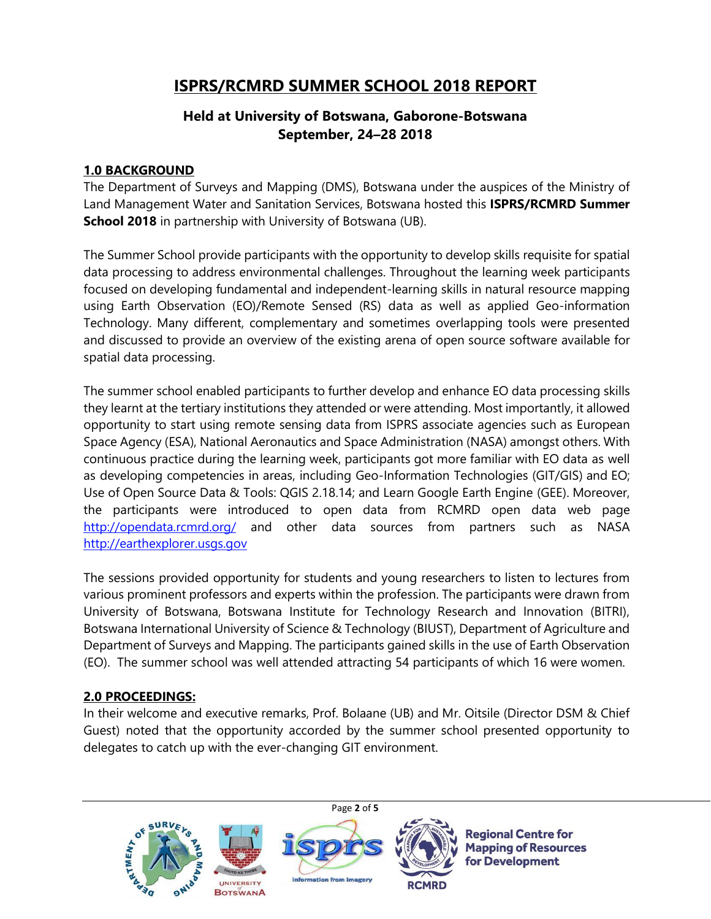## **ISPRS/RCMRD SUMMER SCHOOL 2018 REPORT**

## **Held at University of Botswana, Gaborone-Botswana September, 24–28 2018**

#### **1.0 BACKGROUND**

The Department of Surveys and Mapping (DMS), Botswana under the auspices of the Ministry of Land Management Water and Sanitation Services, Botswana hosted this **ISPRS/RCMRD Summer School 2018** in partnership with University of Botswana (UB).

The Summer School provide participants with the opportunity to develop skills requisite for spatial data processing to address environmental challenges. Throughout the learning week participants focused on developing fundamental and independent-learning skills in natural resource mapping using Earth Observation (EO)/Remote Sensed (RS) data as well as applied Geo-information Technology. Many different, complementary and sometimes overlapping tools were presented and discussed to provide an overview of the existing arena of open source software available for spatial data processing.

The summer school enabled participants to further develop and enhance EO data processing skills they learnt at the tertiary institutions they attended or were attending. Most importantly, it allowed opportunity to start using remote sensing data from ISPRS associate agencies such as European Space Agency (ESA), National Aeronautics and Space Administration (NASA) amongst others. With continuous practice during the learning week, participants got more familiar with EO data as well as developing competencies in areas, including Geo-Information Technologies (GIT/GIS) and EO; Use of Open Source Data & Tools: QGIS 2.18.14; and Learn Google Earth Engine (GEE). Moreover, the participants were introduced to open data from RCMRD open data web page <http://opendata.rcmrd.org/> and other data sources from partners such as NASA [http://earthexplorer.usgs.](http://earthexplorer.usgs.gov/)gov

The sessions provided opportunity for students and young researchers to listen to lectures from various prominent professors and experts within the profession. The participants were drawn from University of Botswana, Botswana Institute for Technology Research and Innovation (BITRI), Botswana International University of Science & Technology (BIUST), Department of Agriculture and Department of Surveys and Mapping. The participants gained skills in the use of Earth Observation (EO). The summer school was well attended attracting 54 participants of which 16 were women.

#### **2.0 PROCEEDINGS:**

In their welcome and executive remarks, Prof. Bolaane (UB) and Mr. Oitsile (Director DSM & Chief Guest) noted that the opportunity accorded by the summer school presented opportunity to delegates to catch up with the ever-changing GIT environment.

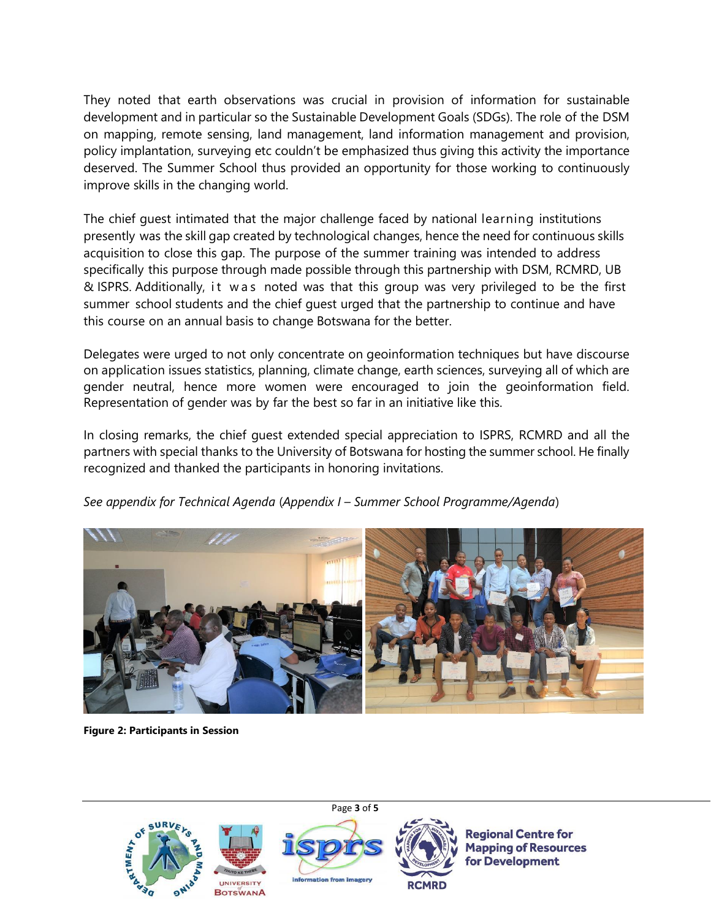They noted that earth observations was crucial in provision of information for sustainable development and in particular so the Sustainable Development Goals (SDGs). The role of the DSM on mapping, remote sensing, land management, land information management and provision, policy implantation, surveying etc couldn't be emphasized thus giving this activity the importance deserved. The Summer School thus provided an opportunity for those working to continuously improve skills in the changing world.

The chief guest intimated that the major challenge faced by national learning institutions presently was the skill gap created by technological changes, hence the need for continuous skills acquisition to close this gap. The purpose of the summer training was intended to address specifically this purpose through made possible through this partnership with DSM, RCMRD, UB & ISPRS. Additionally, it was noted was that this group was very privileged to be the first summer school students and the chief guest urged that the partnership to continue and have this course on an annual basis to change Botswana for the better.

Delegates were urged to not only concentrate on geoinformation techniques but have discourse on application issues statistics, planning, climate change, earth sciences, surveying all of which are gender neutral, hence more women were encouraged to join the geoinformation field. Representation of gender was by far the best so far in an initiative like this.

In closing remarks, the chief guest extended special appreciation to ISPRS, RCMRD and all the partners with special thanks to the University of Botswana for hosting the summer school. He finally recognized and thanked the participants in honoring invitations.

*See appendix for Technical Agenda* (*Appendix I – Summer School Programme/Agenda*)



**Figure 2: Participants in Session**

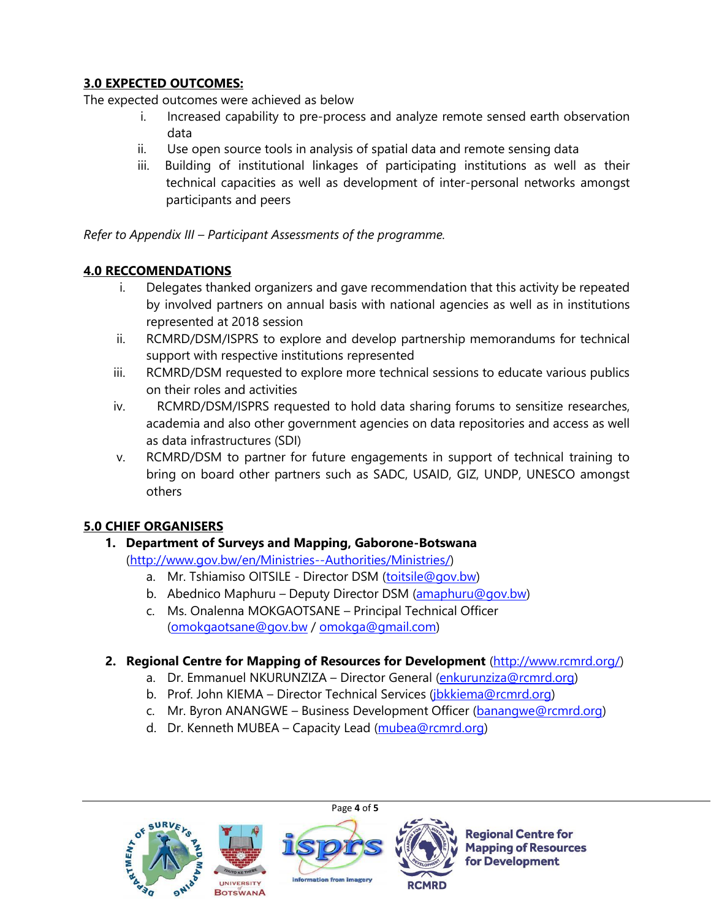## **3.0 EXPECTED OUTCOMES:**

The expected outcomes were achieved as below

- i. Increased capability to pre-process and analyze remote sensed earth observation data
- ii. Use open source tools in analysis of spatial data and remote sensing data
- iii. Building of institutional linkages of participating institutions as well as their technical capacities as well as development of inter-personal networks amongst participants and peers

*Refer to Appendix III – Participant Assessments of the programme.*

## **4.0 RECCOMENDATIONS**

- i. Delegates thanked organizers and gave recommendation that this activity be repeated by involved partners on annual basis with national agencies as well as in institutions represented at 2018 session
- ii. RCMRD/DSM/ISPRS to explore and develop partnership memorandums for technical support with respective institutions represented
- iii. RCMRD/DSM requested to explore more technical sessions to educate various publics on their roles and activities
- iv. RCMRD/DSM/ISPRS requested to hold data sharing forums to sensitize researches, academia and also other government agencies on data repositories and access as well as data infrastructures (SDI)
- v. RCMRD/DSM to partner for future engagements in support of technical training to bring on board other partners such as SADC, USAID, GIZ, UNDP, UNESCO amongst others

## **5.0 CHIEF ORGANISERS**

## **1. Department of Surveys and Mapping, Gaborone-Botswana**

[\(http://www.gov.bw/en/Ministries--Authorities/Ministries/\)](http://www.gov.bw/en/Ministries--Authorities/Ministries/)

- a. Mr. Tshiamiso OITSILE Director DSM [\(toitsile@gov.bw\)](mailto:toitsile@gov.bw)
- b. Abednico Maphuru Deputy Director DSM [\(amaphuru@gov.bw\)](mailto:amaphuru@gov.bw)
- c. Ms. Onalenna MOKGAOTSANE Principal Technical Officer [\(omokgaotsane@gov.bw](mailto:omokgaotsane@gov.bw) / [omokga@gmail.com\)](mailto:omokga@gmail.com)

## **2. Regional Centre for Mapping of Resources for Development** [\(http://www.rcmrd.org/\)](http://www.rcmrd.org/)

- a. Dr. Emmanuel NKURUNZIZA Director General [\(enkurunziza@rcmrd.org\)](mailto:enkurunziza@rcmrd.org)
- b. Prof. John KIEMA Director Technical Services [\(jbkkiema@rcmrd.org\)](mailto:jbkkiema@rcmrd.org)
- c. Mr. Byron ANANGWE Business Development Officer [\(banangwe@rcmrd.org\)](mailto:banangwe@rcmrd.org)
- d. Dr. Kenneth MUBEA Capacity Lead [\(mubea@rcmrd.org\)](mailto:mubea@rcmrd.org)









**Regional Centre for Mapping of Resources** for Development